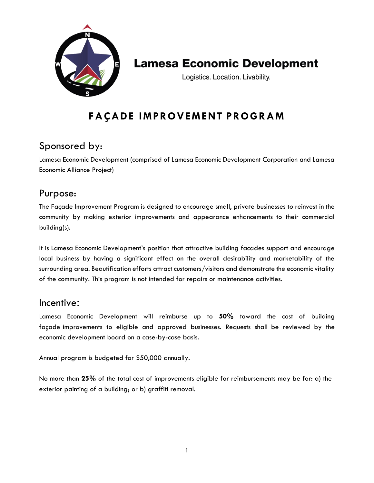

## **Lamesa Economic Development**

Logistics. Location. Livability.

## **FAÇADE IMPROVEMENT PROGRAM**

## Sponsored by:

Lamesa Economic Development (comprised of Lamesa Economic Development Corporation and Lamesa Economic Alliance Project)

## Purpose:

The Façade Improvement Program is designed to encourage small, private businesses to reinvest in the community by making exterior improvements and appearance enhancements to their commercial building(s).

It is Lamesa Economic Development's position that attractive building facades support and encourage local business by having a significant effect on the overall desirability and marketability of the surrounding area. Beautification efforts attract customers/visitors and demonstrate the economic vitality of the community. This program is not intended for repairs or maintenance activities.

#### Incentive:

Lamesa Economic Development will reimburse up to **50%** toward the cost of building façade improvements to eligible and approved businesses. Requests shall be reviewed by the economic development board on a case-by-case basis.

Annual program is budgeted for \$50,000 annually.

No more than **25%** of the total cost of improvements eligible for reimbursements may be for: a) the exterior painting of a building; or b) graffiti removal.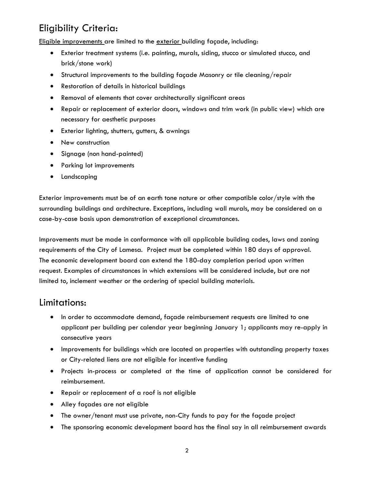## Eligibility Criteria:

Eligible improvements are limited to the exterior building façade, including:

- Exterior treatment systems (i.e. painting, murals, siding, stucco or simulated stucco, and brick/stone work)
- Structural improvements to the building façade Masonry or tile cleaning/repair
- Restoration of details in historical buildings
- Removal of elements that cover architecturally significant areas
- Repair or replacement of exterior doors, windows and trim work (in public view) which are necessary for aesthetic purposes
- Exterior lighting, shutters, gutters, & awnings
- New construction
- Signage (non hand-painted)
- Parking lot improvements
- Landscaping

Exterior improvements must be of an earth tone nature or other compatible color/style with the surrounding buildings and architecture. Exceptions, including wall murals, may be considered on a case-by-case basis upon demonstration of exceptional circumstances.

Improvements must be made in conformance with all applicable building codes, laws and zoning requirements of the City of Lamesa. Project must be completed within 180 days of approval. The economic development board can extend the 180-day completion period upon written request. Examples of circumstances in which extensions will be considered include, but are not limited to, inclement weather or the ordering of special building materials.

#### Limitations:

- In order to accommodate demand, façade reimbursement requests are limited to one applicant per building per calendar year beginning January 1; applicants may re-apply in consecutive years
- Improvements for buildings which are located on properties with outstanding property taxes or City-related liens are not eligible for incentive funding
- Projects in-process or completed at the time of application cannot be considered for reimbursement.
- Repair or replacement of a roof is not eligible
- Alley façades are not eligible
- The owner/tenant must use private, non-City funds to pay for the façade project
- The sponsoring economic development board has the final say in all reimbursement awards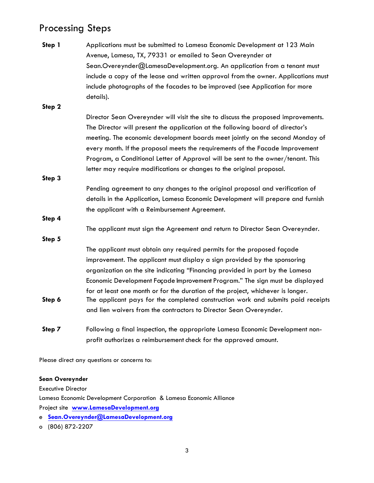## Processing Steps

| Step 1 | Applications must be submitted to Lamesa Economic Development at 123 Main          |
|--------|------------------------------------------------------------------------------------|
|        | Avenue, Lamesa, TX, 79331 or emailed to Sean Overeynder at                         |
|        | Sean.Overeynder@LamesaDevelopment.org. An application from a tenant must           |
|        | include a copy of the lease and written approval from the owner. Applications must |
|        | include photographs of the facades to be improved (see Application for more        |
|        | details).                                                                          |
| Step 2 |                                                                                    |
|        | Director Sean Overeynder will visit the site to discuss the proposed improvements. |
|        | The Director will present the application at the following board of director's     |
|        | meeting. The economic development boards meet jointly on the second Monday of      |
|        | every month. If the proposal meets the requirements of the Facade Improvement      |
|        | Program, a Conditional Letter of Approval will be sent to the owner/tenant. This   |
|        | letter may require modifications or changes to the original proposal.              |
| Step 3 |                                                                                    |
|        | Pending agreement to any changes to the original proposal and verification of      |
|        | details in the Application, Lamesa Economic Development will prepare and furnish   |
|        | the applicant with a Reimbursement Agreement.                                      |
| Step 4 |                                                                                    |
|        | The applicant must sign the Agreement and return to Director Sean Overeynder.      |
| Step 5 |                                                                                    |
|        | The applicant must obtain any required permits for the proposed façade             |
|        | improvement. The applicant must display a sign provided by the sponsoring          |
|        | organization on the site indicating "Financing provided in part by the Lamesa      |
|        | Economic Development Façade Improvement Program." The sign must be displayed       |
|        | for at least one month or for the duration of the project, whichever is longer.    |
| Step 6 | The applicant pays for the completed construction work and submits paid receipts   |
|        | and lien waivers from the contractors to Director Sean Overeynder.                 |
| Step 7 | Following a final inspection, the appropriate Lamesa Economic Development non-     |
|        | profit authorizes a reimbursement check for the approved amount.                   |

Please direct any questions or concerns to:

#### **Sean Overeynder**

Executive Director Lamesa Economic Development Corporation & Lamesa Economic Alliance Project site **[www.LamesaDevelopment.org](http://www.lamesadevelopment.org/)**

e **[Sean.Overeynder@LamesaDeve](mailto:nathan@lamesadevelopment.org)lopment.org**

o (806) 872-2207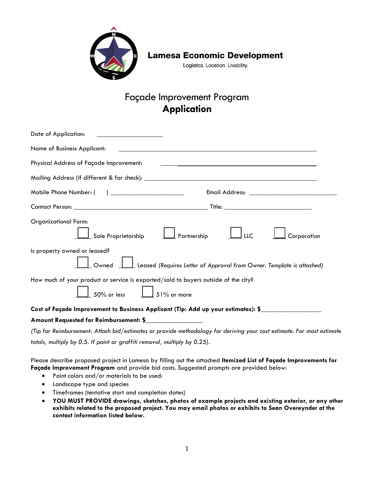

### **Lamesa Economic Development**

Logistics. Location. Livability.

## Façade Improvement Program **Application**

| Date of Application:<br><u> 1980 - Johann Barbara, martin a</u>                                                                                                   |
|-------------------------------------------------------------------------------------------------------------------------------------------------------------------|
| Name of Business Applicant:<br><u> 1980 - Jan Alexandro Alexandro Alexandro Alexandro Alexandro Alexandro Alexandro Alexandro Alexandro Alexandro </u>            |
| Physical Address of Façade Improvement:<br><u> 1989 - Johann Stoff, deutscher Stoffen und der Stoffen und der Stoffen und der Stoffen und der Stoffen und der</u> |
|                                                                                                                                                                   |
|                                                                                                                                                                   |
|                                                                                                                                                                   |
| <b>Organizational Form:</b><br>Sole Proprietorship $\Box$ Partnership $\Box$ LLC<br>Corporation                                                                   |
| Is property owned or leased?<br>$\perp$ Leased (Requires Letter of Approval from Owner. Template is attached)<br>Owned                                            |
| How much of your product or service is exported/sold to buyers outside of the city?<br>$\frac{1}{2}$ 50% or less $\frac{1}{2}$ 51% or more                        |
| Cost of Façade Improvement to Business Applicant (Tip: Add up your estimates): \$                                                                                 |
| Amount Requested for Reimbursement: \$                                                                                                                            |
| (Tip for Reimbursement: Attach bid/estimates or provide methodology for deriving your cost estimate. For most estimate                                            |

*totals, multiply by 0.5. If paint or graffiti removal, multiply by 0.25).*

Please describe proposed project in Lamesa by filling out the attached **Itemized List of Façade Improvements for Façade Improvement Program** and provide bid costs. Suggested prompts are provided below:

- Paint colors and/or materials to be used:
- Landscape type and species
- Timeframes (tentative start and completion dates)
- **YOU MUST PROVIDE drawings, sketches, photos of example projects and existing exterior, or any other exhibits related to the proposed project. You may email photos or exhibits to Sean Overeynder at the contact information listed below.**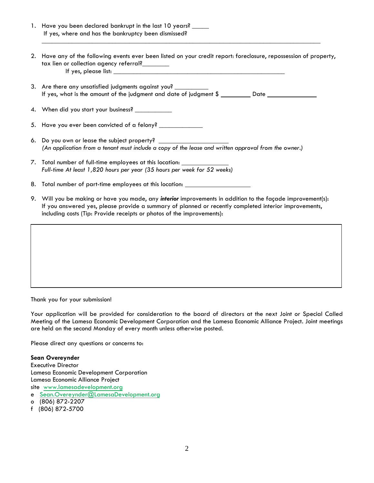| 1. Have you been declared bankrupt in the last 10 years? _____<br>If yes, where and has the bankruptcy been dismissed?                                                                                                                                                                         |
|------------------------------------------------------------------------------------------------------------------------------------------------------------------------------------------------------------------------------------------------------------------------------------------------|
| 2. Have any of the following events ever been listed on your credit report: foreclosure, repossession of property,<br>tax lien or collection agency referral?                                                                                                                                  |
| 3. Are there any unsatisfied judgments against you? ___________<br>If yes, what is the amount of the judgment and date of judgment \$ __________ Date __________________                                                                                                                       |
| 4. When did you start your business? ___________                                                                                                                                                                                                                                               |
| 5. Have you ever been convicted of a felony? _______________                                                                                                                                                                                                                                   |
| 6. Do you own or lease the subject property? ___________________________________<br>(An application from a tenant must include a copy of the lease and written approval from the owner.)                                                                                                       |
| 7. Total number of full-time employees at this location:<br>Full-time At least 1,820 hours per year (35 hours per week for 52 weeks)                                                                                                                                                           |
| 8. Total number of part-time employees at this location: _______________________                                                                                                                                                                                                               |
| 9. Will you be making or have you made, any interior improvements in addition to the façade improvement(s):<br>If you answered yes, please provide a summary of planned or recently completed interior improvements,<br>including costs (Tip: Provide receipts or photos of the improvements): |
|                                                                                                                                                                                                                                                                                                |

Thank you for your submission!

Your application will be provided for consideration to the board of directors at the next Joint or Special Called Meeting of the Lamesa Economic Development Corporation and the Lamesa Economic Alliance Project. Joint meetings are held on the second Monday of every month unless otherwise posted.

Please direct any questions or concerns to:

**Sean Overeynder** Executive Director Lamesa Economic Development Corporation Lamesa Economic Alliance Project site [www.lamesadevelopment.org](http://www.lamesadevelopment.org/)  e [Sean.Overeynder](mailto:nathan@lamesadevelopment.org)@LamesaDevelopment.org o (806) 872-2207

f (806) 872-5700

2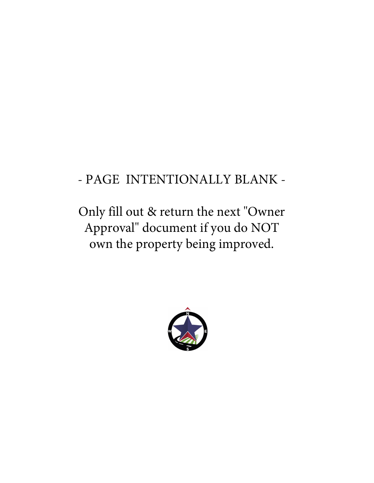# - PAGE INTENTIONALLY BLANK -

Only fill out & return the next "Owner Approval" document if you do NOT own the property being improved.